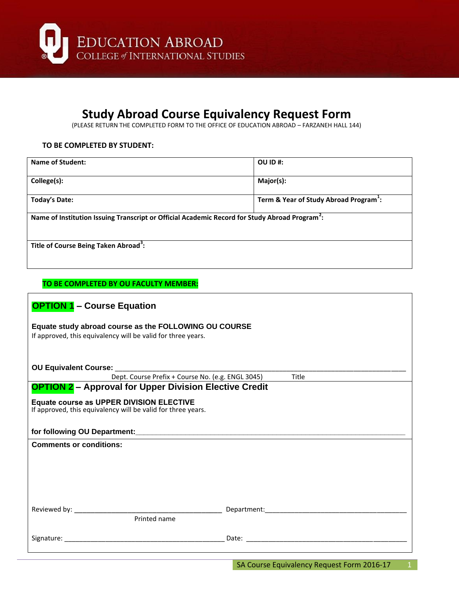

## **Study Abroad Course Equivalency Request Form**

(PLEASE RETURN THE COMPLETED FORM TO THE OFFICE OF EDUCATION ABROAD – FARZANEH HALL 144)

#### **TO BE COMPLETED BY STUDENT:**

| Name of Student:                                                                                           | OU ID#:                                            |
|------------------------------------------------------------------------------------------------------------|----------------------------------------------------|
| College(s):                                                                                                | Major(s):                                          |
| Today's Date:                                                                                              | Term & Year of Study Abroad Program <sup>1</sup> : |
| Name of Institution Issuing Transcript or Official Academic Record for Study Abroad Program <sup>2</sup> : |                                                    |
| Title of Course Being Taken Abroad <sup>3</sup> :                                                          |                                                    |

#### **TO BE COMPLETED BY OU FACULTY MEMBER:**

| <b>OPTION 1 - Course Equation</b>                                                                                     |                                                                                                                |  |
|-----------------------------------------------------------------------------------------------------------------------|----------------------------------------------------------------------------------------------------------------|--|
| Equate study abroad course as the FOLLOWING OU COURSE<br>If approved, this equivalency will be valid for three years. |                                                                                                                |  |
| <b>OU Equivalent Course:</b>                                                                                          |                                                                                                                |  |
| Dept. Course Prefix + Course No. (e.g. ENGL 3045)<br>Title                                                            |                                                                                                                |  |
| <b>OPTION 2- Approval for Upper Division Elective Credit</b>                                                          |                                                                                                                |  |
| Equate course as UPPER DIVISION ELECTIVE<br>If approved, this equivalency will be valid for three years.              |                                                                                                                |  |
|                                                                                                                       |                                                                                                                |  |
| <b>Comments or conditions:</b>                                                                                        |                                                                                                                |  |
|                                                                                                                       |                                                                                                                |  |
|                                                                                                                       |                                                                                                                |  |
|                                                                                                                       |                                                                                                                |  |
|                                                                                                                       |                                                                                                                |  |
|                                                                                                                       |                                                                                                                |  |
| Printed name                                                                                                          |                                                                                                                |  |
| Signature: The contract of the contract of the contract of the contract of the contract of the contract of the        | Date: with the contract of the contract of the contract of the contract of the contract of the contract of the |  |